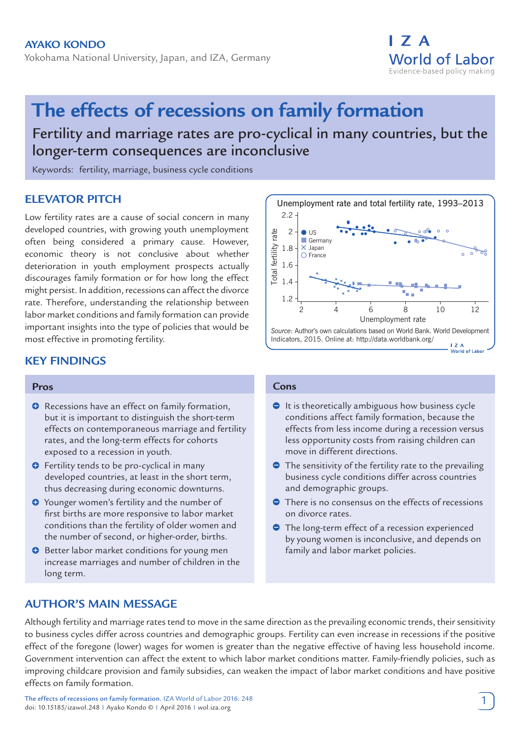Yokohama National University, Japan, and IZA, Germany

# **The effects of recessions on family formation**

Fertility and marriage rates are pro-cyclical in many countries, but the longer-term consequences are inconclusive

Keywords: fertility, marriage, business cycle conditions

# **ELEVATOR PITCH**

Low fertility rates are a cause of social concern in many developed countries, with growing youth unemployment often being considered a primary cause. However, economic theory is not conclusive about whether deterioration in youth employment prospects actually discourages family formation or for how long the effect might persist. In addition, recessions can affect the divorce rate. Therefore, understanding the relationship between labor market conditions and family formation can provide important insights into the type of policies that would be most effective in promoting fertility.

# **KEY FINDINGS**

#### **Pros**

- $\bullet$  Recessions have an effect on family formation, but it is important to distinguish the short-term effects on contemporaneous marriage and fertility rates, and the long-term effects for cohorts exposed to a recession in youth.
- **O** Fertility tends to be pro-cyclical in many developed countries, at least in the short term, thus decreasing during economic downturns.
- **O** Younger women's fertility and the number of first births are more responsive to labor market conditions than the fertility of older women and the number of second, or higher-order, births.
- $\Theta$  Better labor market conditions for young men increase marriages and number of children in the long term.

#### **Cons**

- $\bullet$  It is theoretically ambiguous how business cycle conditions affect family formation, because the effects from less income during a recession versus less opportunity costs from raising children can move in different directions.
- $\bullet$  The sensitivity of the fertility rate to the prevailing business cycle conditions differ across countries and demographic groups.
- **●** There is no consensus on the effects of recessions on divorce rates.
- **•** The long-term effect of a recession experienced by young women is inconclusive, and depends on family and labor market policies.

## **AUTHOR'S MAIN MESSAGE**

Although fertility and marriage rates tend to move in the same direction as the prevailing economic trends, their sensitivity to business cycles differ across countries and demographic groups. Fertility can even increase in recessions if the positive effect of the foregone (lower) wages for women is greater than the negative effective of having less household income. Government intervention can affect the extent to which labor market conditions matter. Family-friendly policies, such as improving childcare provision and family subsidies, can weaken the impact of labor market conditions and have positive effects on family formation.

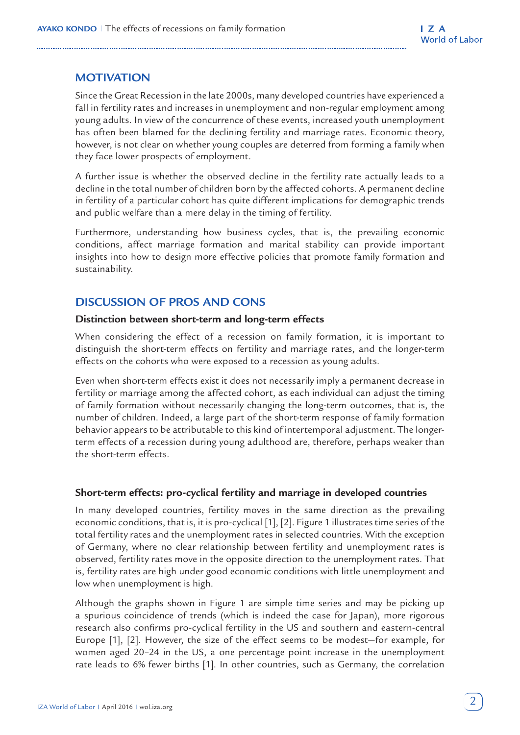# **MOTIVATION**

Since the Great Recession in the late 2000s, many developed countries have experienced a fall in fertility rates and increases in unemployment and non-regular employment among young adults. In view of the concurrence of these events, increased youth unemployment has often been blamed for the declining fertility and marriage rates. Economic theory, however, is not clear on whether young couples are deterred from forming a family when they face lower prospects of employment.

A further issue is whether the observed decline in the fertility rate actually leads to a decline in the total number of children born by the affected cohorts. A permanent decline in fertility of a particular cohort has quite different implications for demographic trends and public welfare than a mere delay in the timing of fertility.

Furthermore, understanding how business cycles, that is, the prevailing economic conditions, affect marriage formation and marital stability can provide important insights into how to design more effective policies that promote family formation and sustainability.

## **DISCUSSION OF PROS AND CONS**

#### **Distinction between short-term and long-term effects**

When considering the effect of a recession on family formation, it is important to distinguish the short-term effects on fertility and marriage rates, and the longer-term effects on the cohorts who were exposed to a recession as young adults.

Even when short-term effects exist it does not necessarily imply a permanent decrease in fertility or marriage among the affected cohort, as each individual can adjust the timing of family formation without necessarily changing the long-term outcomes, that is, the number of children. Indeed, a large part of the short-term response of family formation behavior appears to be attributable to this kind of intertemporal adjustment. The longerterm effects of a recession during young adulthood are, therefore, perhaps weaker than the short-term effects.

#### **Short-term effects: pro-cyclical fertility and marriage in developed countries**

In many developed countries, fertility moves in the same direction as the prevailing economic conditions, that is, it is pro-cyclical [1], [2]. Figure 1 illustrates time series of the total fertility rates and the unemployment rates in selected countries. With the exception of Germany, where no clear relationship between fertility and unemployment rates is observed, fertility rates move in the opposite direction to the unemployment rates. That is, fertility rates are high under good economic conditions with little unemployment and low when unemployment is high.

Although the graphs shown in Figure 1 are simple time series and may be picking up a spurious coincidence of trends (which is indeed the case for Japan), more rigorous research also confirms pro-cyclical fertility in the US and southern and eastern-central Europe [1], [2]. However, the size of the effect seems to be modest—for example, for women aged 20–24 in the US, a one percentage point increase in the unemployment rate leads to 6% fewer births [1]. In other countries, such as Germany, the correlation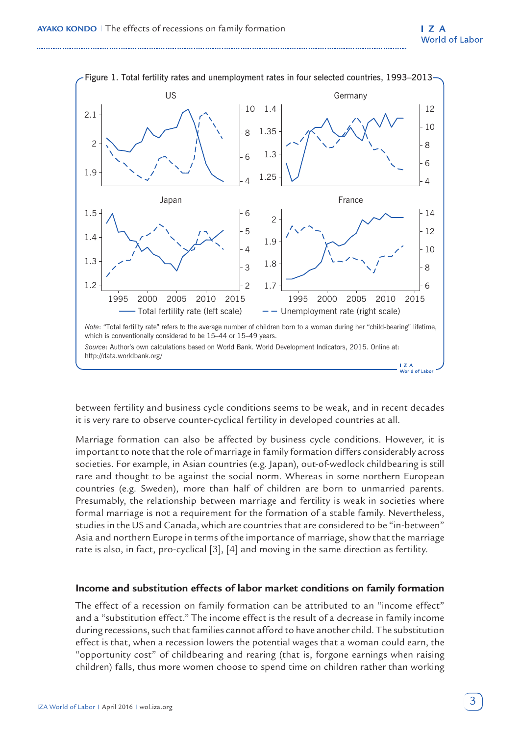

between fertility and business cycle conditions seems to be weak, and in recent decades it is very rare to observe counter-cyclical fertility in developed countries at all.

Marriage formation can also be affected by business cycle conditions. However, it is important to note that the role of marriage in family formation differs considerably across societies. For example, in Asian countries (e.g. Japan), out-of-wedlock childbearing is still rare and thought to be against the social norm. Whereas in some northern European countries (e.g. Sweden), more than half of children are born to unmarried parents. Presumably, the relationship between marriage and fertility is weak in societies where formal marriage is not a requirement for the formation of a stable family. Nevertheless, studies in the US and Canada, which are countries that are considered to be "in-between" Asia and northern Europe in terms of the importance of marriage, show that the marriage rate is also, in fact, pro-cyclical [3], [4] and moving in the same direction as fertility.

#### **Income and substitution effects of labor market conditions on family formation**

The effect of a recession on family formation can be attributed to an "income effect" and a "substitution effect." The income effect is the result of a decrease in family income during recessions, such that families cannot afford to have another child. The substitution effect is that, when a recession lowers the potential wages that a woman could earn, the "opportunity cost" of childbearing and rearing (that is, forgone earnings when raising children) falls, thus more women choose to spend time on children rather than working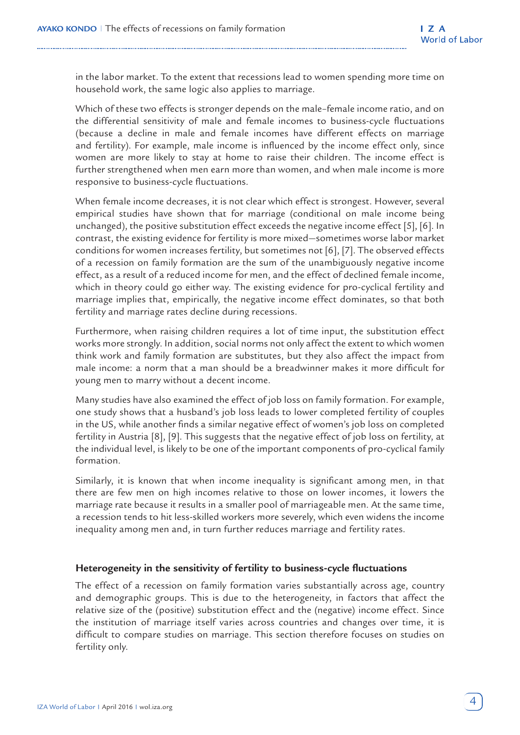in the labor market. To the extent that recessions lead to women spending more time on household work, the same logic also applies to marriage.

Which of these two effects is stronger depends on the male–female income ratio, and on the differential sensitivity of male and female incomes to business-cycle fluctuations (because a decline in male and female incomes have different effects on marriage and fertility). For example, male income is influenced by the income effect only, since women are more likely to stay at home to raise their children. The income effect is further strengthened when men earn more than women, and when male income is more responsive to business-cycle fluctuations.

When female income decreases, it is not clear which effect is strongest. However, several empirical studies have shown that for marriage (conditional on male income being unchanged), the positive substitution effect exceeds the negative income effect [5], [6]. In contrast, the existing evidence for fertility is more mixed—sometimes worse labor market conditions for women increases fertility, but sometimes not [6], [7]. The observed effects of a recession on family formation are the sum of the unambiguously negative income effect, as a result of a reduced income for men, and the effect of declined female income, which in theory could go either way. The existing evidence for pro-cyclical fertility and marriage implies that, empirically, the negative income effect dominates, so that both fertility and marriage rates decline during recessions.

Furthermore, when raising children requires a lot of time input, the substitution effect works more strongly. In addition, social norms not only affect the extent to which women think work and family formation are substitutes, but they also affect the impact from male income: a norm that a man should be a breadwinner makes it more difficult for young men to marry without a decent income.

Many studies have also examined the effect of job loss on family formation. For example, one study shows that a husband's job loss leads to lower completed fertility of couples in the US, while another finds a similar negative effect of women's job loss on completed fertility in Austria [8], [9]. This suggests that the negative effect of job loss on fertility, at the individual level, is likely to be one of the important components of pro-cyclical family formation.

Similarly, it is known that when income inequality is significant among men, in that there are few men on high incomes relative to those on lower incomes, it lowers the marriage rate because it results in a smaller pool of marriageable men. At the same time, a recession tends to hit less-skilled workers more severely, which even widens the income inequality among men and, in turn further reduces marriage and fertility rates.

## **Heterogeneity in the sensitivity of fertility to business-cycle fluctuations**

The effect of a recession on family formation varies substantially across age, country and demographic groups. This is due to the heterogeneity, in factors that affect the relative size of the (positive) substitution effect and the (negative) income effect. Since the institution of marriage itself varies across countries and changes over time, it is difficult to compare studies on marriage. This section therefore focuses on studies on fertility only.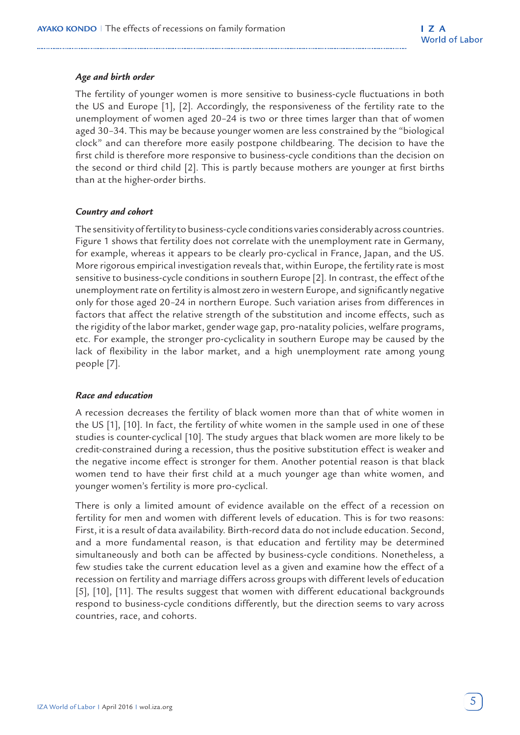#### *Age and birth order*

The fertility of younger women is more sensitive to business-cycle fluctuations in both the US and Europe [1], [2]. Accordingly, the responsiveness of the fertility rate to the unemployment of women aged 20–24 is two or three times larger than that of women aged 30–34. This may be because younger women are less constrained by the "biological clock" and can therefore more easily postpone childbearing. The decision to have the first child is therefore more responsive to business-cycle conditions than the decision on the second or third child [2]. This is partly because mothers are younger at first births than at the higher-order births.

#### *Country and cohort*

The sensitivity of fertility to business-cycle conditions varies considerably across countries. Figure 1 shows that fertility does not correlate with the unemployment rate in Germany, for example, whereas it appears to be clearly pro-cyclical in France, Japan, and the US. More rigorous empirical investigation reveals that, within Europe, the fertility rate is most sensitive to business-cycle conditions in southern Europe [2]. In contrast, the effect of the unemployment rate on fertility is almost zero in western Europe, and significantly negative only for those aged 20–24 in northern Europe. Such variation arises from differences in factors that affect the relative strength of the substitution and income effects, such as the rigidity of the labor market, gender wage gap, pro-natality policies, welfare programs, etc. For example, the stronger pro-cyclicality in southern Europe may be caused by the lack of flexibility in the labor market, and a high unemployment rate among young people [7].

#### *Race and education*

A recession decreases the fertility of black women more than that of white women in the US [1], [10]. In fact, the fertility of white women in the sample used in one of these studies is counter-cyclical [10]. The study argues that black women are more likely to be credit-constrained during a recession, thus the positive substitution effect is weaker and the negative income effect is stronger for them. Another potential reason is that black women tend to have their first child at a much younger age than white women, and younger women's fertility is more pro-cyclical.

There is only a limited amount of evidence available on the effect of a recession on fertility for men and women with different levels of education. This is for two reasons: First, it is a result of data availability. Birth-record data do not include education. Second, and a more fundamental reason, is that education and fertility may be determined simultaneously and both can be affected by business-cycle conditions. Nonetheless, a few studies take the current education level as a given and examine how the effect of a recession on fertility and marriage differs across groups with different levels of education [5], [10], [11]. The results suggest that women with different educational backgrounds respond to business-cycle conditions differently, but the direction seems to vary across countries, race, and cohorts.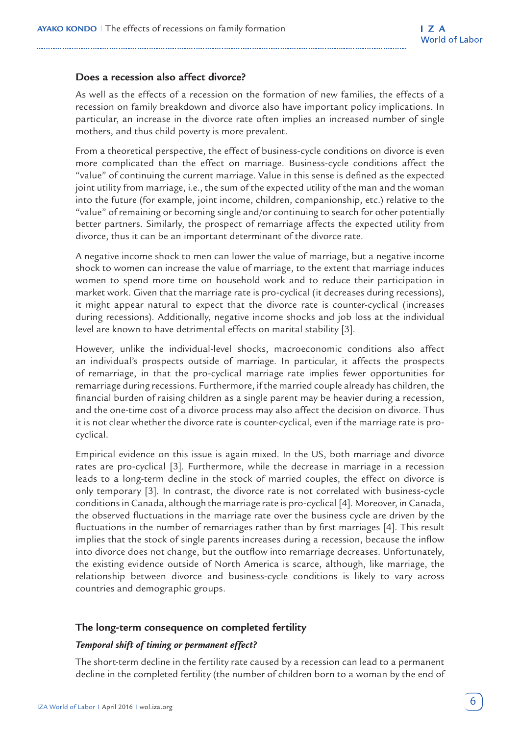#### **Does a recession also affect divorce?**

As well as the effects of a recession on the formation of new families, the effects of a recession on family breakdown and divorce also have important policy implications. In particular, an increase in the divorce rate often implies an increased number of single mothers, and thus child poverty is more prevalent.

From a theoretical perspective, the effect of business-cycle conditions on divorce is even more complicated than the effect on marriage. Business-cycle conditions affect the "value" of continuing the current marriage. Value in this sense is defined as the expected joint utility from marriage, i.e., the sum of the expected utility of the man and the woman into the future (for example, joint income, children, companionship, etc.) relative to the "value" of remaining or becoming single and/or continuing to search for other potentially better partners. Similarly, the prospect of remarriage affects the expected utility from divorce, thus it can be an important determinant of the divorce rate.

A negative income shock to men can lower the value of marriage, but a negative income shock to women can increase the value of marriage, to the extent that marriage induces women to spend more time on household work and to reduce their participation in market work. Given that the marriage rate is pro-cyclical (it decreases during recessions), it might appear natural to expect that the divorce rate is counter-cyclical (increases during recessions). Additionally, negative income shocks and job loss at the individual level are known to have detrimental effects on marital stability [3].

However, unlike the individual-level shocks, macroeconomic conditions also affect an individual's prospects outside of marriage. In particular, it affects the prospects of remarriage, in that the pro-cyclical marriage rate implies fewer opportunities for remarriage during recessions. Furthermore, if the married couple already has children, the financial burden of raising children as a single parent may be heavier during a recession, and the one-time cost of a divorce process may also affect the decision on divorce. Thus it is not clear whether the divorce rate is counter-cyclical, even if the marriage rate is procyclical.

Empirical evidence on this issue is again mixed. In the US, both marriage and divorce rates are pro-cyclical [3]. Furthermore, while the decrease in marriage in a recession leads to a long-term decline in the stock of married couples, the effect on divorce is only temporary [3]. In contrast, the divorce rate is not correlated with business-cycle conditions in Canada, although the marriage rate is pro-cyclical [4]. Moreover, in Canada, the observed fluctuations in the marriage rate over the business cycle are driven by the fluctuations in the number of remarriages rather than by first marriages [4]. This result implies that the stock of single parents increases during a recession, because the inflow into divorce does not change, but the outflow into remarriage decreases. Unfortunately, the existing evidence outside of North America is scarce, although, like marriage, the relationship between divorce and business-cycle conditions is likely to vary across countries and demographic groups.

#### **The long-term consequence on completed fertility**

#### *Temporal shift of timing or permanent effect?*

The short-term decline in the fertility rate caused by a recession can lead to a permanent decline in the completed fertility (the number of children born to a woman by the end of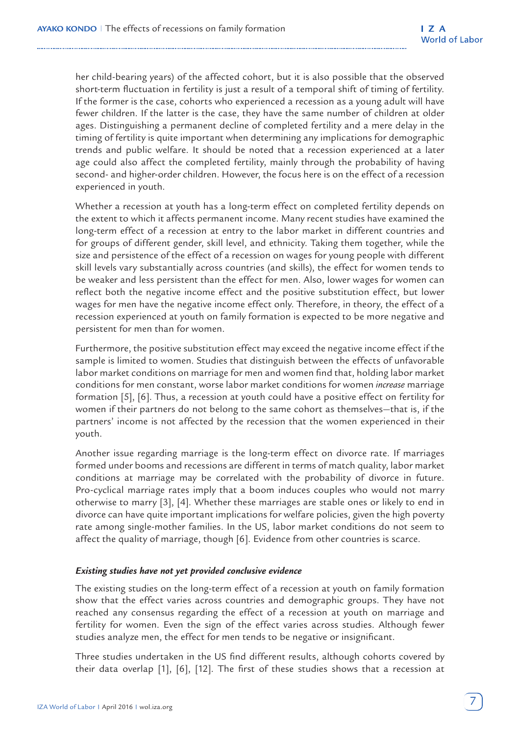her child-bearing years) of the affected cohort, but it is also possible that the observed short-term fluctuation in fertility is just a result of a temporal shift of timing of fertility. If the former is the case, cohorts who experienced a recession as a young adult will have fewer children. If the latter is the case, they have the same number of children at older ages. Distinguishing a permanent decline of completed fertility and a mere delay in the timing of fertility is quite important when determining any implications for demographic trends and public welfare. It should be noted that a recession experienced at a later age could also affect the completed fertility, mainly through the probability of having second- and higher-order children. However, the focus here is on the effect of a recession experienced in youth.

Whether a recession at youth has a long-term effect on completed fertility depends on the extent to which it affects permanent income. Many recent studies have examined the long-term effect of a recession at entry to the labor market in different countries and for groups of different gender, skill level, and ethnicity. Taking them together, while the size and persistence of the effect of a recession on wages for young people with different skill levels vary substantially across countries (and skills), the effect for women tends to be weaker and less persistent than the effect for men. Also, lower wages for women can reflect both the negative income effect and the positive substitution effect, but lower wages for men have the negative income effect only. Therefore, in theory, the effect of a recession experienced at youth on family formation is expected to be more negative and persistent for men than for women.

Furthermore, the positive substitution effect may exceed the negative income effect if the sample is limited to women. Studies that distinguish between the effects of unfavorable labor market conditions on marriage for men and women find that, holding labor market conditions for men constant, worse labor market conditions for women *increase* marriage formation [5], [6]. Thus, a recession at youth could have a positive effect on fertility for women if their partners do not belong to the same cohort as themselves—that is, if the partners' income is not affected by the recession that the women experienced in their youth.

Another issue regarding marriage is the long-term effect on divorce rate. If marriages formed under booms and recessions are different in terms of match quality, labor market conditions at marriage may be correlated with the probability of divorce in future. Pro-cyclical marriage rates imply that a boom induces couples who would not marry otherwise to marry [3], [4]. Whether these marriages are stable ones or likely to end in divorce can have quite important implications for welfare policies, given the high poverty rate among single-mother families. In the US, labor market conditions do not seem to affect the quality of marriage, though [6]. Evidence from other countries is scarce.

#### *Existing studies have not yet provided conclusive evidence*

The existing studies on the long-term effect of a recession at youth on family formation show that the effect varies across countries and demographic groups. They have not reached any consensus regarding the effect of a recession at youth on marriage and fertility for women. Even the sign of the effect varies across studies. Although fewer studies analyze men, the effect for men tends to be negative or insignificant.

Three studies undertaken in the US find different results, although cohorts covered by their data overlap [1], [6], [12]. The first of these studies shows that a recession at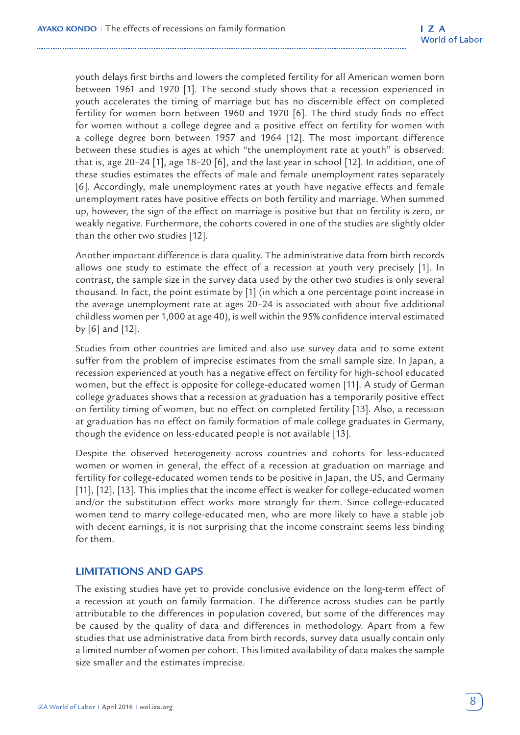youth delays first births and lowers the completed fertility for all American women born between 1961 and 1970 [1]. The second study shows that a recession experienced in youth accelerates the timing of marriage but has no discernible effect on completed fertility for women born between 1960 and 1970 [6]. The third study finds no effect for women without a college degree and a positive effect on fertility for women with a college degree born between 1957 and 1964 [12]. The most important difference between these studies is ages at which "the unemployment rate at youth" is observed: that is, age 20–24 [1], age 18–20 [6], and the last year in school [12]. In addition, one of these studies estimates the effects of male and female unemployment rates separately [6]. Accordingly, male unemployment rates at youth have negative effects and female unemployment rates have positive effects on both fertility and marriage. When summed up, however, the sign of the effect on marriage is positive but that on fertility is zero, or weakly negative. Furthermore, the cohorts covered in one of the studies are slightly older than the other two studies [12].

Another important difference is data quality. The administrative data from birth records allows one study to estimate the effect of a recession at youth very precisely [1]. In contrast, the sample size in the survey data used by the other two studies is only several thousand. In fact, the point estimate by [1] (in which a one percentage point increase in the average unemployment rate at ages 20–24 is associated with about five additional childless women per 1,000 at age 40), is well within the 95% confidence interval estimated by [6] and [12].

Studies from other countries are limited and also use survey data and to some extent suffer from the problem of imprecise estimates from the small sample size. In Japan, a recession experienced at youth has a negative effect on fertility for high-school educated women, but the effect is opposite for college-educated women [11]. A study of German college graduates shows that a recession at graduation has a temporarily positive effect on fertility timing of women, but no effect on completed fertility [13]. Also, a recession at graduation has no effect on family formation of male college graduates in Germany, though the evidence on less-educated people is not available [13].

Despite the observed heterogeneity across countries and cohorts for less-educated women or women in general, the effect of a recession at graduation on marriage and fertility for college-educated women tends to be positive in Japan, the US, and Germany [11], [12], [13]. This implies that the income effect is weaker for college-educated women and/or the substitution effect works more strongly for them. Since college-educated women tend to marry college-educated men, who are more likely to have a stable job with decent earnings, it is not surprising that the income constraint seems less binding for them.

## **LIMITATIONS AND GAPS**

The existing studies have yet to provide conclusive evidence on the long-term effect of a recession at youth on family formation. The difference across studies can be partly attributable to the differences in population covered, but some of the differences may be caused by the quality of data and differences in methodology. Apart from a few studies that use administrative data from birth records, survey data usually contain only a limited number of women per cohort. This limited availability of data makes the sample size smaller and the estimates imprecise.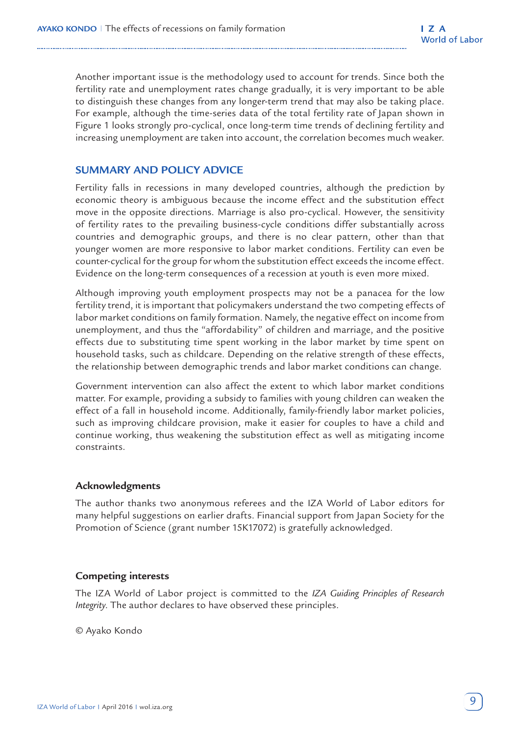Another important issue is the methodology used to account for trends. Since both the fertility rate and unemployment rates change gradually, it is very important to be able to distinguish these changes from any longer-term trend that may also be taking place. For example, although the time-series data of the total fertility rate of Japan shown in Figure 1 looks strongly pro-cyclical, once long-term time trends of declining fertility and increasing unemployment are taken into account, the correlation becomes much weaker.

## **SUMMARY AND POLICY ADVICE**

Fertility falls in recessions in many developed countries, although the prediction by economic theory is ambiguous because the income effect and the substitution effect move in the opposite directions. Marriage is also pro-cyclical. However, the sensitivity of fertility rates to the prevailing business-cycle conditions differ substantially across countries and demographic groups, and there is no clear pattern, other than that younger women are more responsive to labor market conditions. Fertility can even be counter-cyclical for the group for whom the substitution effect exceeds the income effect. Evidence on the long-term consequences of a recession at youth is even more mixed.

Although improving youth employment prospects may not be a panacea for the low fertility trend, it is important that policymakers understand the two competing effects of labor market conditions on family formation. Namely, the negative effect on income from unemployment, and thus the "affordability" of children and marriage, and the positive effects due to substituting time spent working in the labor market by time spent on household tasks, such as childcare. Depending on the relative strength of these effects, the relationship between demographic trends and labor market conditions can change.

Government intervention can also affect the extent to which labor market conditions matter. For example, providing a subsidy to families with young children can weaken the effect of a fall in household income. Additionally, family-friendly labor market policies, such as improving childcare provision, make it easier for couples to have a child and continue working, thus weakening the substitution effect as well as mitigating income constraints.

## **Acknowledgments**

The author thanks two anonymous referees and the IZA World of Labor editors for many helpful suggestions on earlier drafts. Financial support from Japan Society for the Promotion of Science (grant number 15K17072) is gratefully acknowledged.

## **Competing interests**

The IZA World of Labor project is committed to the *IZA Guiding Principles of Research Integrity*. The author declares to have observed these principles.

© Ayako Kondo